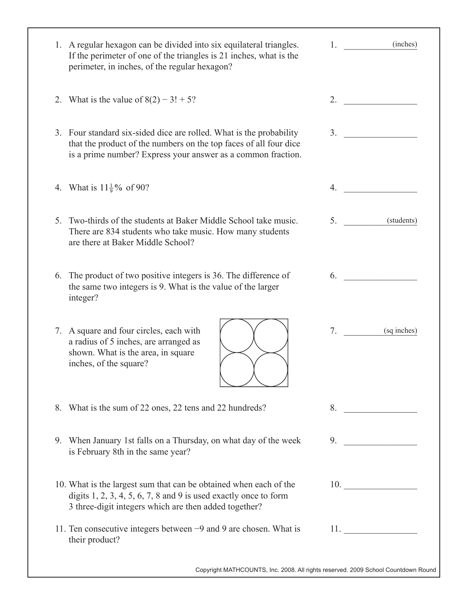| 1. A regular hexagon can be divided into six equilateral triangles.<br>If the perimeter of one of the triangles is 21 inches, what is the<br>perimeter, in inches, of the regular hexagon?               | $1.$ (inches)                                                                     |
|----------------------------------------------------------------------------------------------------------------------------------------------------------------------------------------------------------|-----------------------------------------------------------------------------------|
| 2. What is the value of $8(2) - 3! + 5$ ?                                                                                                                                                                | 2.                                                                                |
| 3. Four standard six-sided dice are rolled. What is the probability<br>that the product of the numbers on the top faces of all four dice<br>is a prime number? Express your answer as a common fraction. | 3.                                                                                |
| 4. What is $11\frac{1}{9}$ % of 90?                                                                                                                                                                      | 4.                                                                                |
| 5. Two-thirds of the students at Baker Middle School take music.<br>There are 834 students who take music. How many students<br>are there at Baker Middle School?                                        | 5.<br>(students)                                                                  |
| 6. The product of two positive integers is 36. The difference of<br>the same two integers is 9. What is the value of the larger<br>integer?                                                              | 6.                                                                                |
| 7. A square and four circles, each with<br>a radius of 5 inches, are arranged as<br>shown. What is the area, in square<br>inches, of the square?                                                         | 7.<br>(sq inches)                                                                 |
| 8. What is the sum of 22 ones, 22 tens and 22 hundreds?                                                                                                                                                  | 8.                                                                                |
| 9. When January 1st falls on a Thursday, on what day of the week<br>is February 8th in the same year?                                                                                                    | 9.                                                                                |
| 10. What is the largest sum that can be obtained when each of the<br>digits $1, 2, 3, 4, 5, 6, 7, 8$ and 9 is used exactly once to form<br>3 three-digit integers which are then added together?         | 10.                                                                               |
| 11. Ten consecutive integers between $-9$ and 9 are chosen. What is<br>their product?                                                                                                                    | 11.                                                                               |
|                                                                                                                                                                                                          | Copyright MATHCOUNTS, Inc. 2008. All rights reserved. 2009 School Countdown Round |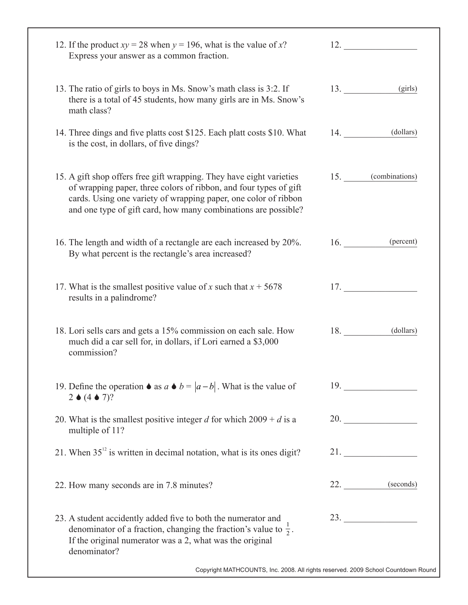| 12. If the product $xy = 28$ when $y = 196$ , what is the value of x?<br>Express your answer as a common fraction.                                                                                                                                                             | 12.                |
|--------------------------------------------------------------------------------------------------------------------------------------------------------------------------------------------------------------------------------------------------------------------------------|--------------------|
| 13. The ratio of girls to boys in Ms. Snow's math class is 3:2. If<br>there is a total of 45 students, how many girls are in Ms. Snow's<br>math class?                                                                                                                         | $13.$ (girls)      |
| 14. Three dings and five platts cost \$125. Each platt costs \$10. What<br>is the cost, in dollars, of five dings?                                                                                                                                                             | (dollars)<br>14.   |
| 15. A gift shop offers free gift wrapping. They have eight varieties<br>of wrapping paper, three colors of ribbon, and four types of gift<br>cards. Using one variety of wrapping paper, one color of ribbon<br>and one type of gift card, how many combinations are possible? | 15. (combinations) |
| 16. The length and width of a rectangle are each increased by 20%.<br>By what percent is the rectangle's area increased?                                                                                                                                                       | $16.$ (percent)    |
| 17. What is the smallest positive value of x such that $x + 5678$<br>results in a palindrome?                                                                                                                                                                                  | 17.                |
| 18. Lori sells cars and gets a 15% commission on each sale. How<br>much did a car sell for, in dollars, if Lori earned a \$3,000<br>commission?                                                                                                                                | 18.<br>(dollars)   |
| 19. Define the operation $\bullet$ as $a \bullet b =  a-b $ . What is the value of<br>$2 \bullet (4 \bullet 7)?$                                                                                                                                                               | 19.                |
| 20. What is the smallest positive integer d for which $2009 + d$ is a<br>multiple of 11?                                                                                                                                                                                       | 20.                |
| 21. When $35^{12}$ is written in decimal notation, what is its ones digit?                                                                                                                                                                                                     | 21.                |
| 22. How many seconds are in 7.8 minutes?                                                                                                                                                                                                                                       | $22.$ (seconds)    |
| 23. A student accidently added five to both the numerator and<br>denominator of a fraction, changing the fraction's value to $\frac{1}{2}$ .<br>If the original numerator was a 2, what was the original<br>denominator?                                                       | 23.                |
| Copyright MATHCOUNTS, Inc. 2008. All rights reserved. 2009 School Countdown Round                                                                                                                                                                                              |                    |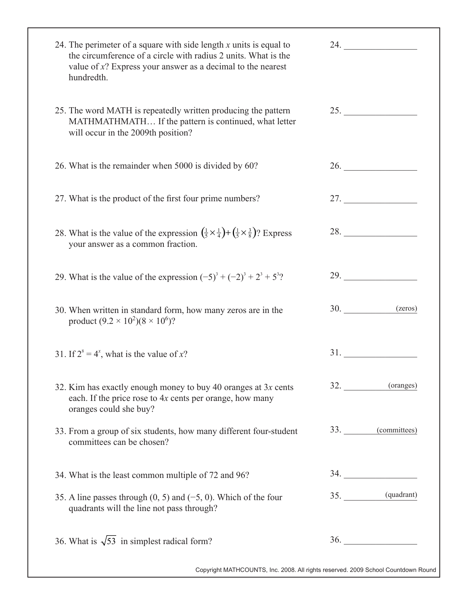| 24. The perimeter of a square with side length $x$ units is equal to<br>the circumference of a circle with radius 2 units. What is the<br>value of $x$ ? Express your answer as a decimal to the nearest<br>hundredth. | 24. $\qquad \qquad$                                                                                                                                                                                                                |
|------------------------------------------------------------------------------------------------------------------------------------------------------------------------------------------------------------------------|------------------------------------------------------------------------------------------------------------------------------------------------------------------------------------------------------------------------------------|
| 25. The word MATH is repeatedly written producing the pattern<br>MATHMATHMATH If the pattern is continued, what letter<br>will occur in the 2009th position?                                                           | 25.                                                                                                                                                                                                                                |
| 26. What is the remainder when 5000 is divided by 60?                                                                                                                                                                  | 26.                                                                                                                                                                                                                                |
| 27. What is the product of the first four prime numbers?                                                                                                                                                               |                                                                                                                                                                                                                                    |
| 28. What is the value of the expression $(\frac{1}{5} \times \frac{1}{4}) + (\frac{1}{5} \times \frac{3}{8})$ ? Express<br>your answer as a common fraction.                                                           | 28.                                                                                                                                                                                                                                |
| 29. What is the value of the expression $(-5)^3 + (-2)^3 + 2^3 + 5^3$ ?                                                                                                                                                | 29.                                                                                                                                                                                                                                |
| 30. When written in standard form, how many zeros are in the<br>product $(9.2 \times 10^2)(8 \times 10^6)$ ?                                                                                                           | 30.<br>(zeros)                                                                                                                                                                                                                     |
| 31. If $2^s = 4^x$ , what is the value of x?                                                                                                                                                                           | <b>31.</b> The same state of the same state of the same state of the same state of the same state of the same state of the same state of the same state of the same state of the same state of the same state of the same state of |
| 32. Kim has exactly enough money to buy 40 oranges at $3x$ cents<br>each. If the price rose to 4x cents per orange, how many<br>oranges could she buy?                                                                 | 32. (oranges)                                                                                                                                                                                                                      |
| 33. From a group of six students, how many different four-student<br>committees can be chosen?                                                                                                                         | 33. (committees)                                                                                                                                                                                                                   |
| 34. What is the least common multiple of 72 and 96?                                                                                                                                                                    |                                                                                                                                                                                                                                    |
| 35. A line passes through $(0, 5)$ and $(-5, 0)$ . Which of the four<br>quadrants will the line not pass through?                                                                                                      | 35. (quadrant)                                                                                                                                                                                                                     |
| 36. What is $\sqrt{53}$ in simplest radical form?                                                                                                                                                                      | 36.                                                                                                                                                                                                                                |

Copyright MATHCOUNTS, Inc. 2008. All rights reserved. 2009 School Countdown Round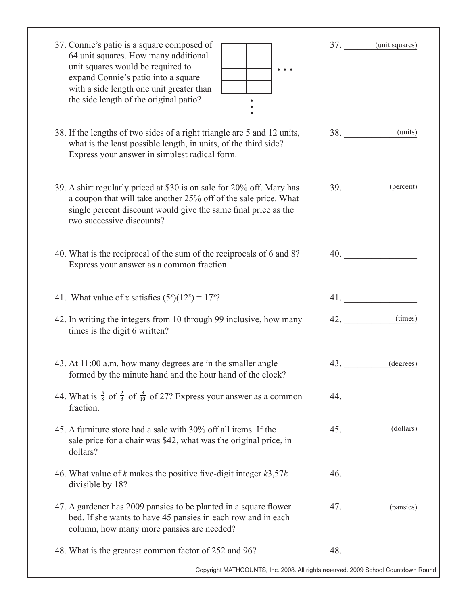| 37. Connie's patio is a square composed of<br>64 unit squares. How many additional<br>unit squares would be required to<br>expand Connie's patio into a square<br>with a side length one unit greater than<br>the side length of the original patio? |     | 37. (unit squares)                             |
|------------------------------------------------------------------------------------------------------------------------------------------------------------------------------------------------------------------------------------------------------|-----|------------------------------------------------|
| 38. If the lengths of two sides of a right triangle are 5 and 12 units,<br>what is the least possible length, in units, of the third side?<br>Express your answer in simplest radical form.                                                          |     | (units)<br><b>38.</b> The same state of $\sim$ |
| 39. A shirt regularly priced at \$30 is on sale for 20% off. Mary has<br>a coupon that will take another 25% off of the sale price. What<br>single percent discount would give the same final price as the<br>two successive discounts?              |     | 39. (percent)                                  |
| 40. What is the reciprocal of the sum of the reciprocals of 6 and 8?<br>Express your answer as a common fraction.                                                                                                                                    |     | 40.                                            |
| 41. What value of x satisfies $(5^x)(12^x) = 17^{x}$ ?                                                                                                                                                                                               |     | 41.                                            |
| 42. In writing the integers from 10 through 99 inclusive, how many<br>times is the digit 6 written?                                                                                                                                                  |     | (times)<br>42.                                 |
| 43. At 11:00 a.m. how many degrees are in the smaller angle<br>formed by the minute hand and the hour hand of the clock?                                                                                                                             | 43. | (degrees)                                      |
| 44. What is $\frac{5}{8}$ of $\frac{2}{3}$ of $\frac{3}{10}$ of 27? Express your answer as a common<br>fraction.                                                                                                                                     |     | 44.                                            |
| 45. A furniture store had a sale with 30% off all items. If the<br>sale price for a chair was \$42, what was the original price, in<br>dollars?                                                                                                      |     | 45. (dollars)                                  |
| 46. What value of k makes the positive five-digit integer $k3,57k$<br>divisible by 18?                                                                                                                                                               |     | 46.                                            |
| 47. A gardener has 2009 pansies to be planted in a square flower<br>bed. If she wants to have 45 pansies in each row and in each<br>column, how many more pansies are needed?                                                                        |     | 47. (pansies)                                  |
| 48. What is the greatest common factor of 252 and 96?                                                                                                                                                                                                |     | 48.                                            |

Copyright MATHCOUNTS, Inc. 2008. All rights reserved. 2009 School Countdown Round